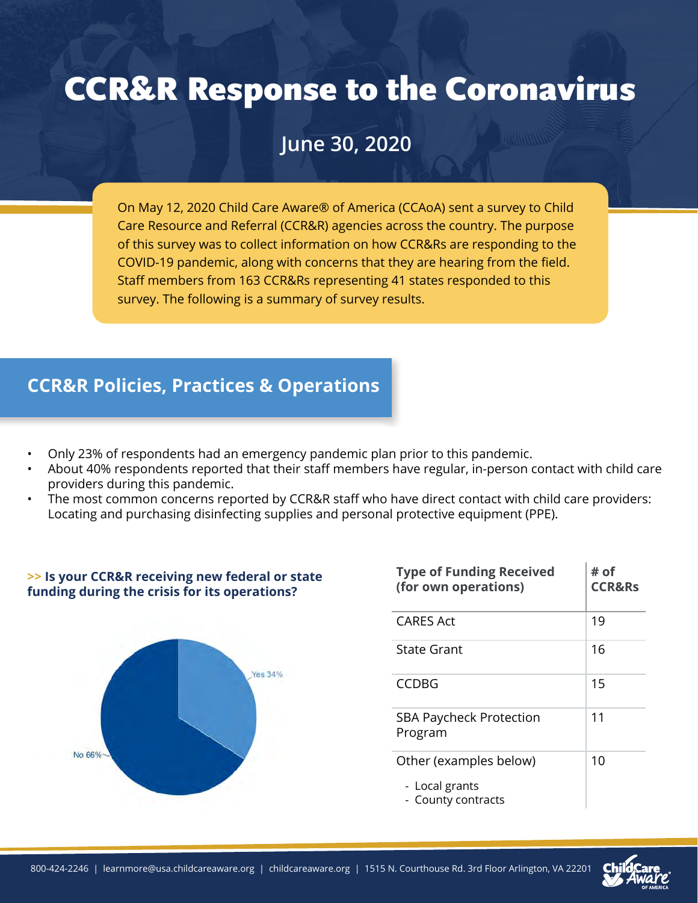# CCR&R Response to the Coronavirus

# **June 30, 2020**

On May 12, 2020 Child Care Aware® of America (CCAoA) sent a survey to Child Care Resource and Referral (CCR&R) agencies across the country. The purpose of this survey was to collect information on how CCR&Rs are responding to the COVID-19 pandemic, along with concerns that they are hearing from the field. Staff members from 163 CCR&Rs representing 41 states responded to this survey. The following is a summary of survey results.

## **CCR&R Policies, Practices & Operations**

- Only 23% of respondents had an emergency pandemic plan prior to this pandemic.
- About 40% respondents reported that their staff members have regular, in-person contact with child care providers during this pandemic.
- The most common concerns reported by CCR&R staff who have direct contact with child care providers: Locating and purchasing disinfecting supplies and personal protective equipment (PPE).



| <b>Type of Funding Received</b><br>(for own operations) | # of<br><b>CCR&amp;Rs</b> |
|---------------------------------------------------------|---------------------------|
| CARES Act                                               | 19                        |
| State Grant                                             | 16                        |
| <b>CCDBG</b>                                            | 15                        |
| <b>SBA Paycheck Protection</b><br>Program               | 11                        |
| Other (examples below)                                  | 10                        |
| - Local grants<br>- County contracts                    |                           |

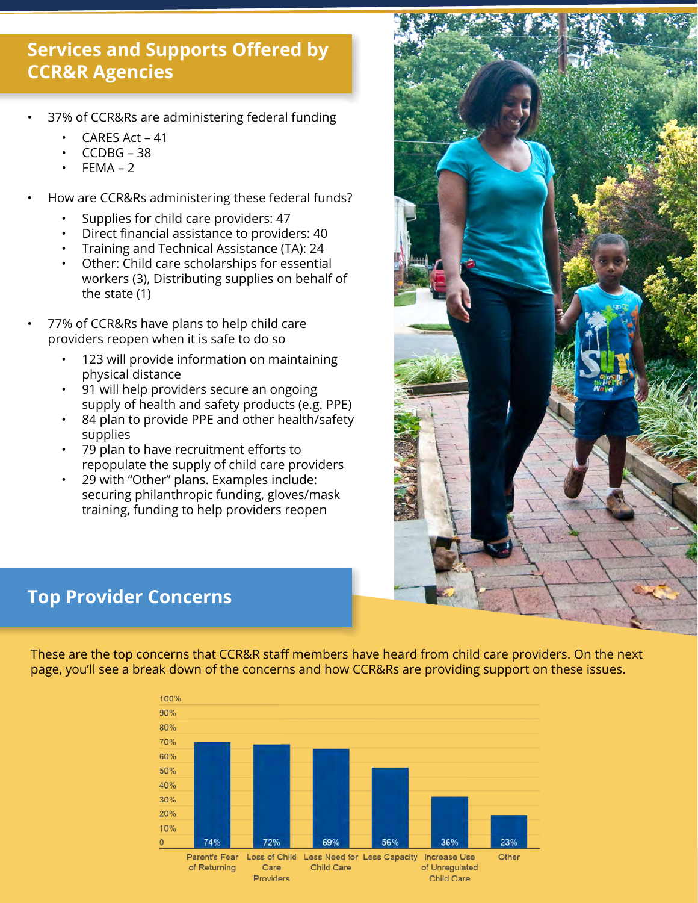# **Services and Supports Offered by CCR&R Agencies**

- 37% of CCR&Rs are administering federal funding
	- CARES Act 41
	- CCDBG 38
	- $FEMA 2$
- How are CCR&Rs administering these federal funds?
	- Supplies for child care providers: 47
	- Direct financial assistance to providers: 40
	- Training and Technical Assistance (TA): 24
	- Other: Child care scholarships for essential workers (3), Distributing supplies on behalf of the state (1)
- 77% of CCR&Rs have plans to help child care providers reopen when it is safe to do so
	- 123 will provide information on maintaining physical distance
	- 91 will help providers secure an ongoing supply of health and safety products (e.g. PPE)
	- 84 plan to provide PPE and other health/safety supplies
	- 79 plan to have recruitment efforts to repopulate the supply of child care providers
	- 29 with "Other" plans. Examples include: securing philanthropic funding, gloves/mask training, funding to help providers reopen



# **Top Provider Concerns**

These are the top concerns that CCR&R staff members have heard from child care providers. On the next page, you'll see a break down of the concerns and how CCR&Rs are providing support on these issues.

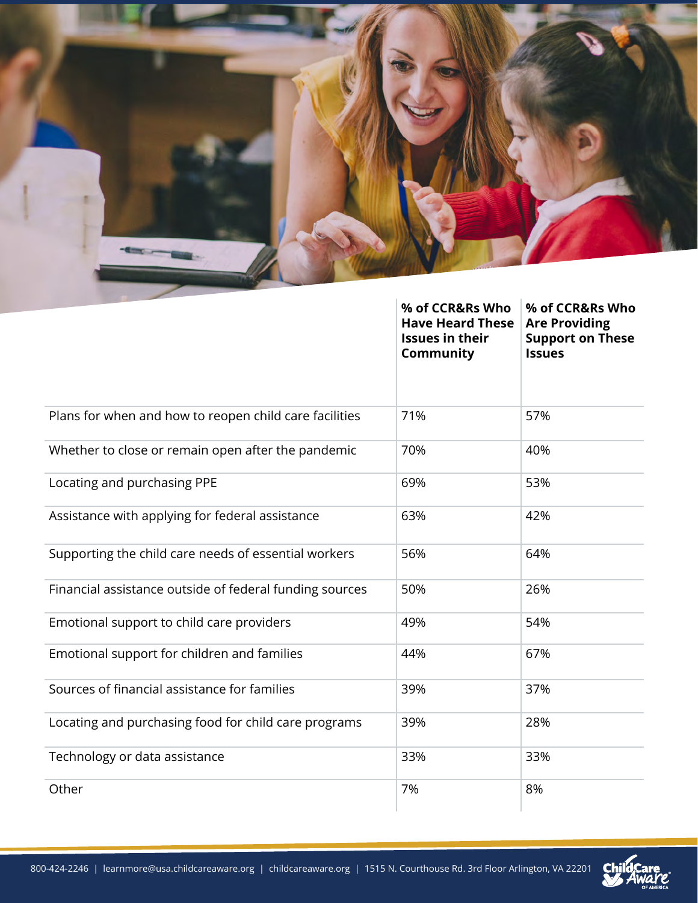

|                                                         | % of CCR&Rs Who<br><b>Have Heard These</b><br><b>Issues in their</b><br>Community | % of CCR&Rs Who<br><b>Are Providing</b><br><b>Support on These</b><br><b>Issues</b> |
|---------------------------------------------------------|-----------------------------------------------------------------------------------|-------------------------------------------------------------------------------------|
| Plans for when and how to reopen child care facilities  | 71%                                                                               | 57%                                                                                 |
| Whether to close or remain open after the pandemic      | 70%                                                                               | 40%                                                                                 |
| Locating and purchasing PPE                             | 69%                                                                               | 53%                                                                                 |
| Assistance with applying for federal assistance         | 63%                                                                               | 42%                                                                                 |
| Supporting the child care needs of essential workers    | 56%                                                                               | 64%                                                                                 |
| Financial assistance outside of federal funding sources | 50%                                                                               | 26%                                                                                 |
| Emotional support to child care providers               | 49%                                                                               | 54%                                                                                 |
| Emotional support for children and families             | 44%                                                                               | 67%                                                                                 |
| Sources of financial assistance for families            | 39%                                                                               | 37%                                                                                 |
| Locating and purchasing food for child care programs    | 39%                                                                               | 28%                                                                                 |
| Technology or data assistance                           | 33%                                                                               | 33%                                                                                 |
| Other                                                   | 7%                                                                                | 8%                                                                                  |

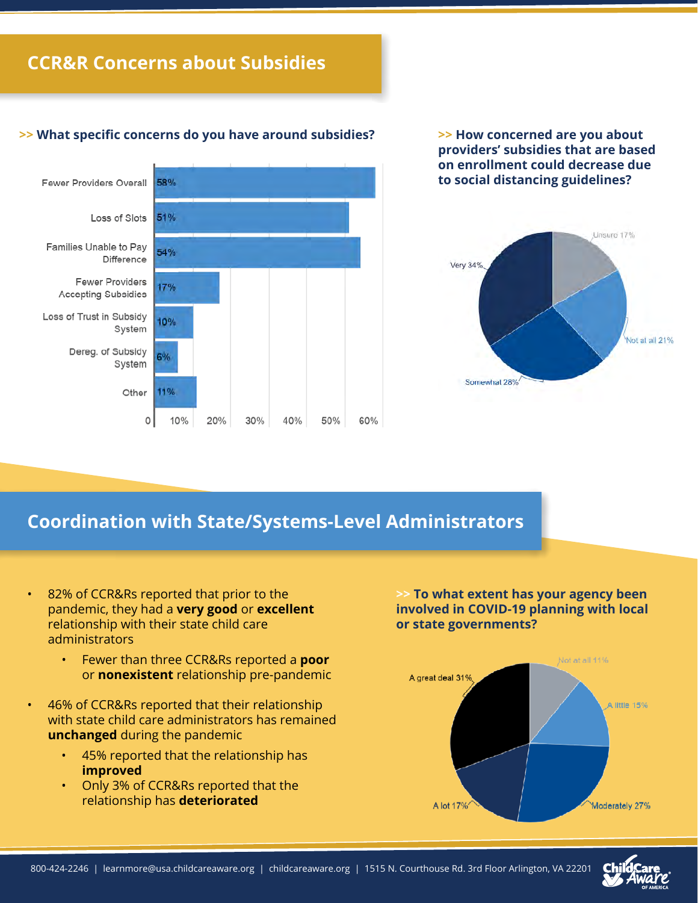### **CCR&R Concerns about Subsidies**

#### **>> What specific concerns do you have around subsidies?**



**>> How concerned are you about providers' subsidies that are based on enrollment could decrease due to social distancing guidelines?**



#### **Coordination with State/Systems-Level Administrators**

• 82% of CCR&Rs reported that prior to the pandemic, they had a **very good** or **excellent** relationship with their state child care administrators

- Fewer than three CCR&Rs reported a **poor** or **nonexistent** relationship pre-pandemic
- 46% of CCR&Rs reported that their relationship with state child care administrators has remained **unchanged** during the pandemic
	- 45% reported that the relationship has **improved**
	- Only 3% of CCR&Rs reported that the relationship has **deteriorated**

**>> To what extent has your agency been involved in COVID-19 planning with local or state governments?**

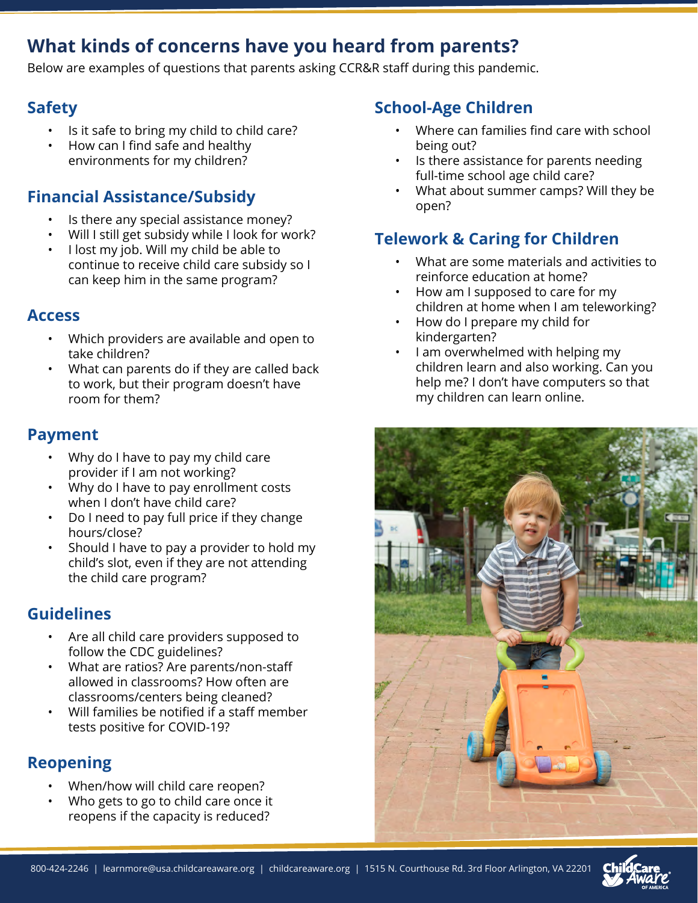# **What kinds of concerns have you heard from parents?**

Below are examples of questions that parents asking CCR&R staff during this pandemic.

#### **Safety**

- Is it safe to bring my child to child care?
- How can I find safe and healthy environments for my children?

### **Financial Assistance/Subsidy**

- Is there any special assistance money?
- Will I still get subsidy while I look for work?
- I lost my job. Will my child be able to continue to receive child care subsidy so I can keep him in the same program?

#### **Access**

- Which providers are available and open to take children?
- What can parents do if they are called back to work, but their program doesn't have room for them?

#### **Payment**

- Why do I have to pay my child care provider if I am not working?
- Why do I have to pay enrollment costs when I don't have child care?
- Do I need to pay full price if they change hours/close?
- Should I have to pay a provider to hold my child's slot, even if they are not attending the child care program?

# **Guidelines**

- Are all child care providers supposed to follow the CDC guidelines?
- What are ratios? Are parents/non-staff allowed in classrooms? How often are classrooms/centers being cleaned?
- Will families be notified if a staff member tests positive for COVID-19?

# **Reopening**

- When/how will child care reopen?
- Who gets to go to child care once it reopens if the capacity is reduced?

### **School-Age Children**

- Where can families find care with school being out?
- Is there assistance for parents needing full-time school age child care?
- What about summer camps? Will they be open?

# **Telework & Caring for Children**

- What are some materials and activities to reinforce education at home?
- How am I supposed to care for my children at home when I am teleworking?
- How do I prepare my child for kindergarten?
- I am overwhelmed with helping my children learn and also working. Can you help me? I don't have computers so that my children can learn online.